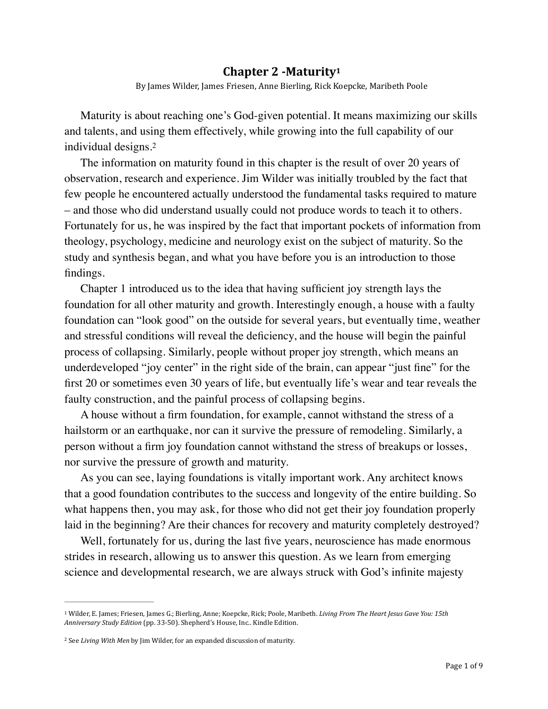# <span id="page-0-2"></span>**Chapter 2 -Maturity[1](#page-0-0)**

<span id="page-0-3"></span>By James Wilder, James Friesen, Anne Bierling, Rick Koepcke, Maribeth Poole

Maturity is about reaching one's God-given potential. It means maximizing our skills and talents, and using them effectively, while growing into the full capability of our individual designs[.2](#page-0-1)

The information on maturity found in this chapter is the result of over 20 years of observation, research and experience. Jim Wilder was initially troubled by the fact that few people he encountered actually understood the fundamental tasks required to mature – and those who did understand usually could not produce words to teach it to others. Fortunately for us, he was inspired by the fact that important pockets of information from theology, psychology, medicine and neurology exist on the subject of maturity. So the study and synthesis began, and what you have before you is an introduction to those findings.

Chapter 1 introduced us to the idea that having sufficient joy strength lays the foundation for all other maturity and growth. Interestingly enough, a house with a faulty foundation can "look good" on the outside for several years, but eventually time, weather and stressful conditions will reveal the deficiency, and the house will begin the painful process of collapsing. Similarly, people without proper joy strength, which means an underdeveloped "joy center" in the right side of the brain, can appear "just fine" for the first 20 or sometimes even 30 years of life, but eventually life's wear and tear reveals the faulty construction, and the painful process of collapsing begins.

A house without a firm foundation, for example, cannot withstand the stress of a hailstorm or an earthquake, nor can it survive the pressure of remodeling. Similarly, a person without a firm joy foundation cannot withstand the stress of breakups or losses, nor survive the pressure of growth and maturity.

As you can see, laying foundations is vitally important work. Any architect knows that a good foundation contributes to the success and longevity of the entire building. So what happens then, you may ask, for those who did not get their joy foundation properly laid in the beginning? Are their chances for recovery and maturity completely destroyed?

Well, fortunately for us, during the last five years, neuroscience has made enormous strides in research, allowing us to answer this question. As we learn from emerging science and developmental research, we are always struck with God's infinite majesty

<span id="page-0-0"></span><sup>&</sup>lt;sup>[1](#page-0-2)</sup> Wilder, E. James; Friesen, James G.; Bierling, Anne; Koepcke, Rick; Poole, Maribeth. *Living From The Heart Jesus Gave You: 15th* Anniversary Study Edition (pp. 33-50). Shepherd's House, Inc.. Kindle Edition.

<span id="page-0-1"></span><sup>&</sup>lt;sup>[2](#page-0-3)</sup> See *Living With Men* by Jim Wilder, for an expanded discussion of maturity.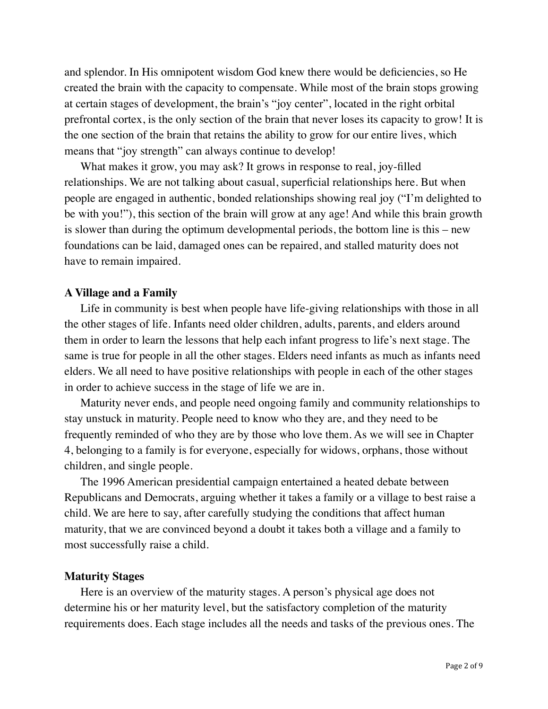and splendor. In His omnipotent wisdom God knew there would be deficiencies, so He created the brain with the capacity to compensate. While most of the brain stops growing at certain stages of development, the brain's "joy center", located in the right orbital prefrontal cortex, is the only section of the brain that never loses its capacity to grow! It is the one section of the brain that retains the ability to grow for our entire lives, which means that "joy strength" can always continue to develop!

What makes it grow, you may ask? It grows in response to real, joy-filled relationships. We are not talking about casual, superficial relationships here. But when people are engaged in authentic, bonded relationships showing real joy ("I'm delighted to be with you!"), this section of the brain will grow at any age! And while this brain growth is slower than during the optimum developmental periods, the bottom line is this – new foundations can be laid, damaged ones can be repaired, and stalled maturity does not have to remain impaired.

## **A Village and a Family**

Life in community is best when people have life-giving relationships with those in all the other stages of life. Infants need older children, adults, parents, and elders around them in order to learn the lessons that help each infant progress to life's next stage. The same is true for people in all the other stages. Elders need infants as much as infants need elders. We all need to have positive relationships with people in each of the other stages in order to achieve success in the stage of life we are in.

Maturity never ends, and people need ongoing family and community relationships to stay unstuck in maturity. People need to know who they are, and they need to be frequently reminded of who they are by those who love them. As we will see in Chapter 4, belonging to a family is for everyone, especially for widows, orphans, those without children, and single people.

The 1996 American presidential campaign entertained a heated debate between Republicans and Democrats, arguing whether it takes a family or a village to best raise a child. We are here to say, after carefully studying the conditions that affect human maturity, that we are convinced beyond a doubt it takes both a village and a family to most successfully raise a child.

#### **Maturity Stages**

Here is an overview of the maturity stages. A person's physical age does not determine his or her maturity level, but the satisfactory completion of the maturity requirements does. Each stage includes all the needs and tasks of the previous ones. The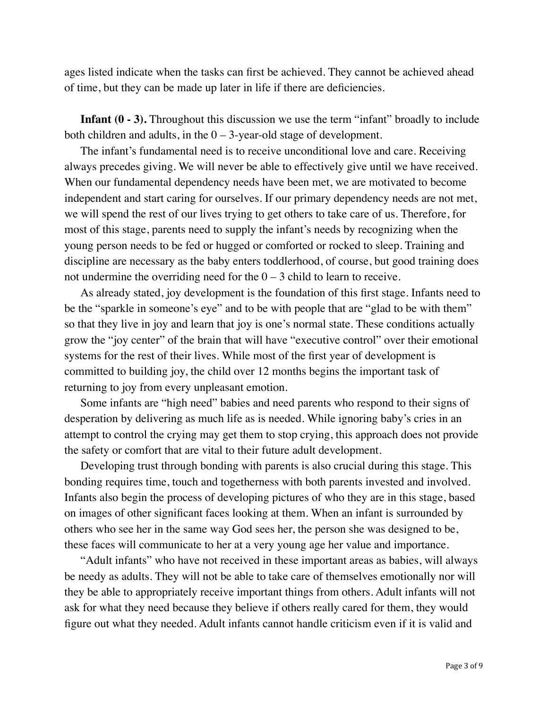ages listed indicate when the tasks can first be achieved. They cannot be achieved ahead of time, but they can be made up later in life if there are deficiencies.

**Infant (0 - 3).** Throughout this discussion we use the term "infant" broadly to include both children and adults, in the  $0 - 3$ -year-old stage of development.

The infant's fundamental need is to receive unconditional love and care. Receiving always precedes giving. We will never be able to effectively give until we have received. When our fundamental dependency needs have been met, we are motivated to become independent and start caring for ourselves. If our primary dependency needs are not met, we will spend the rest of our lives trying to get others to take care of us. Therefore, for most of this stage, parents need to supply the infant's needs by recognizing when the young person needs to be fed or hugged or comforted or rocked to sleep. Training and discipline are necessary as the baby enters toddlerhood, of course, but good training does not undermine the overriding need for the  $0 - 3$  child to learn to receive.

As already stated, joy development is the foundation of this first stage. Infants need to be the "sparkle in someone's eye" and to be with people that are "glad to be with them" so that they live in joy and learn that joy is one's normal state. These conditions actually grow the "joy center" of the brain that will have "executive control" over their emotional systems for the rest of their lives. While most of the first year of development is committed to building joy, the child over 12 months begins the important task of returning to joy from every unpleasant emotion.

Some infants are "high need" babies and need parents who respond to their signs of desperation by delivering as much life as is needed. While ignoring baby's cries in an attempt to control the crying may get them to stop crying, this approach does not provide the safety or comfort that are vital to their future adult development.

Developing trust through bonding with parents is also crucial during this stage. This bonding requires time, touch and togetherness with both parents invested and involved. Infants also begin the process of developing pictures of who they are in this stage, based on images of other significant faces looking at them. When an infant is surrounded by others who see her in the same way God sees her, the person she was designed to be, these faces will communicate to her at a very young age her value and importance.

"Adult infants" who have not received in these important areas as babies, will always be needy as adults. They will not be able to take care of themselves emotionally nor will they be able to appropriately receive important things from others. Adult infants will not ask for what they need because they believe if others really cared for them, they would figure out what they needed. Adult infants cannot handle criticism even if it is valid and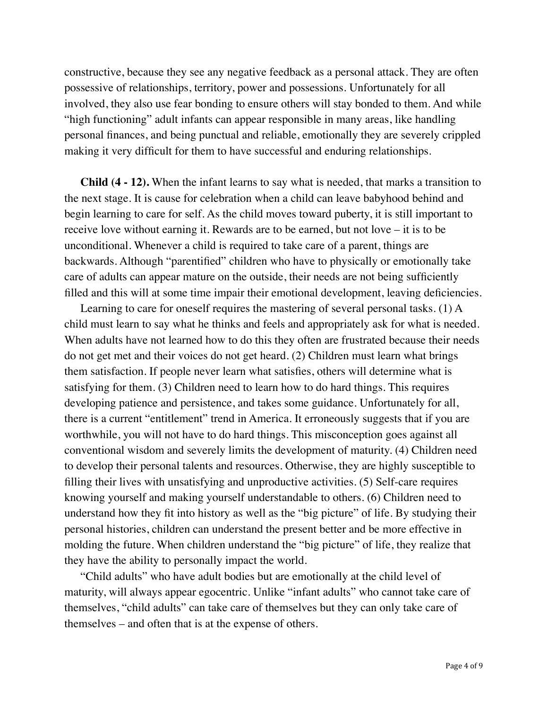constructive, because they see any negative feedback as a personal attack. They are often possessive of relationships, territory, power and possessions. Unfortunately for all involved, they also use fear bonding to ensure others will stay bonded to them. And while "high functioning" adult infants can appear responsible in many areas, like handling personal finances, and being punctual and reliable, emotionally they are severely crippled making it very difficult for them to have successful and enduring relationships.

**Child (4 - 12).** When the infant learns to say what is needed, that marks a transition to the next stage. It is cause for celebration when a child can leave babyhood behind and begin learning to care for self. As the child moves toward puberty, it is still important to receive love without earning it. Rewards are to be earned, but not love – it is to be unconditional. Whenever a child is required to take care of a parent, things are backwards. Although "parentified" children who have to physically or emotionally take care of adults can appear mature on the outside, their needs are not being sufficiently filled and this will at some time impair their emotional development, leaving deficiencies.

Learning to care for oneself requires the mastering of several personal tasks. (1) A child must learn to say what he thinks and feels and appropriately ask for what is needed. When adults have not learned how to do this they often are frustrated because their needs do not get met and their voices do not get heard. (2) Children must learn what brings them satisfaction. If people never learn what satisfies, others will determine what is satisfying for them. (3) Children need to learn how to do hard things. This requires developing patience and persistence, and takes some guidance. Unfortunately for all, there is a current "entitlement" trend in America. It erroneously suggests that if you are worthwhile, you will not have to do hard things. This misconception goes against all conventional wisdom and severely limits the development of maturity. (4) Children need to develop their personal talents and resources. Otherwise, they are highly susceptible to filling their lives with unsatisfying and unproductive activities. (5) Self-care requires knowing yourself and making yourself understandable to others. (6) Children need to understand how they fit into history as well as the "big picture" of life. By studying their personal histories, children can understand the present better and be more effective in molding the future. When children understand the "big picture" of life, they realize that they have the ability to personally impact the world.

"Child adults" who have adult bodies but are emotionally at the child level of maturity, will always appear egocentric. Unlike "infant adults" who cannot take care of themselves, "child adults" can take care of themselves but they can only take care of themselves – and often that is at the expense of others.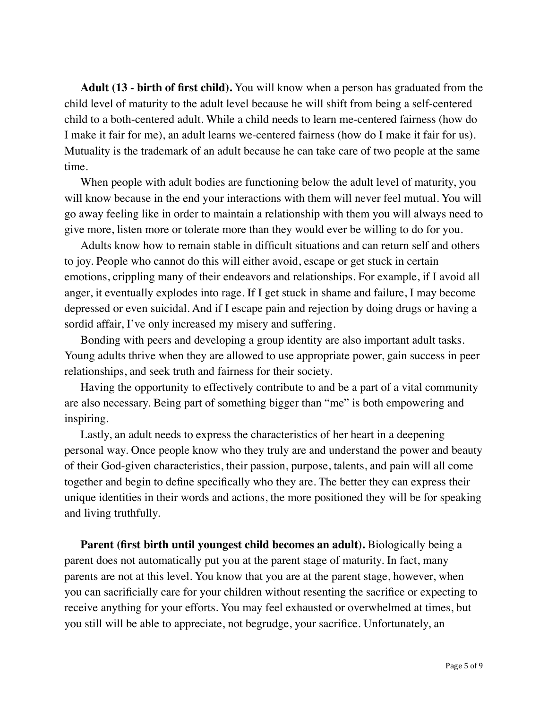**Adult (13 - birth of first child).** You will know when a person has graduated from the child level of maturity to the adult level because he will shift from being a self-centered child to a both-centered adult. While a child needs to learn me-centered fairness (how do I make it fair for me), an adult learns we-centered fairness (how do I make it fair for us). Mutuality is the trademark of an adult because he can take care of two people at the same time.

When people with adult bodies are functioning below the adult level of maturity, you will know because in the end your interactions with them will never feel mutual. You will go away feeling like in order to maintain a relationship with them you will always need to give more, listen more or tolerate more than they would ever be willing to do for you.

Adults know how to remain stable in difficult situations and can return self and others to joy. People who cannot do this will either avoid, escape or get stuck in certain emotions, crippling many of their endeavors and relationships. For example, if I avoid all anger, it eventually explodes into rage. If I get stuck in shame and failure, I may become depressed or even suicidal. And if I escape pain and rejection by doing drugs or having a sordid affair, I've only increased my misery and suffering.

Bonding with peers and developing a group identity are also important adult tasks. Young adults thrive when they are allowed to use appropriate power, gain success in peer relationships, and seek truth and fairness for their society.

Having the opportunity to effectively contribute to and be a part of a vital community are also necessary. Being part of something bigger than "me" is both empowering and inspiring.

Lastly, an adult needs to express the characteristics of her heart in a deepening personal way. Once people know who they truly are and understand the power and beauty of their God-given characteristics, their passion, purpose, talents, and pain will all come together and begin to define specifically who they are. The better they can express their unique identities in their words and actions, the more positioned they will be for speaking and living truthfully.

**Parent (first birth until youngest child becomes an adult).** Biologically being a parent does not automatically put you at the parent stage of maturity. In fact, many parents are not at this level. You know that you are at the parent stage, however, when you can sacrificially care for your children without resenting the sacrifice or expecting to receive anything for your efforts. You may feel exhausted or overwhelmed at times, but you still will be able to appreciate, not begrudge, your sacrifice. Unfortunately, an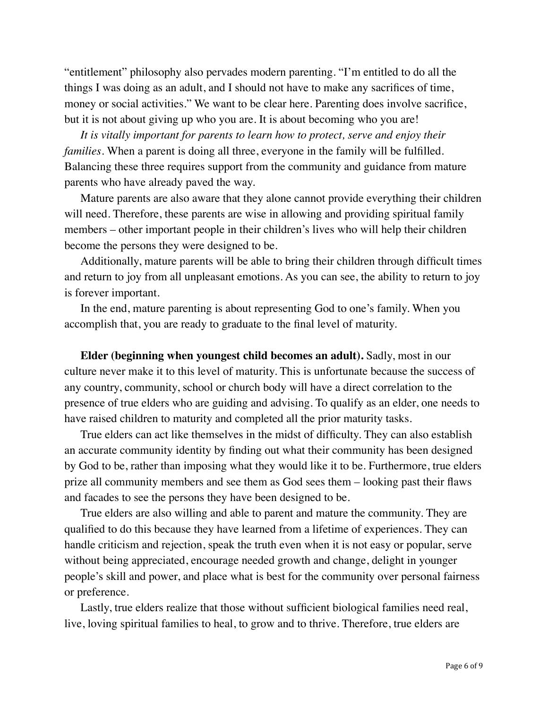"entitlement" philosophy also pervades modern parenting. "I'm entitled to do all the things I was doing as an adult, and I should not have to make any sacrifices of time, money or social activities." We want to be clear here. Parenting does involve sacrifice, but it is not about giving up who you are. It is about becoming who you are!

*It is vitally important for parents to learn how to protect, serve and enjoy their families*. When a parent is doing all three, everyone in the family will be fulfilled. Balancing these three requires support from the community and guidance from mature parents who have already paved the way.

Mature parents are also aware that they alone cannot provide everything their children will need. Therefore, these parents are wise in allowing and providing spiritual family members – other important people in their children's lives who will help their children become the persons they were designed to be.

Additionally, mature parents will be able to bring their children through difficult times and return to joy from all unpleasant emotions. As you can see, the ability to return to joy is forever important.

In the end, mature parenting is about representing God to one's family. When you accomplish that, you are ready to graduate to the final level of maturity.

**Elder (beginning when youngest child becomes an adult).** Sadly, most in our culture never make it to this level of maturity. This is unfortunate because the success of any country, community, school or church body will have a direct correlation to the presence of true elders who are guiding and advising. To qualify as an elder, one needs to have raised children to maturity and completed all the prior maturity tasks.

True elders can act like themselves in the midst of difficulty. They can also establish an accurate community identity by finding out what their community has been designed by God to be, rather than imposing what they would like it to be. Furthermore, true elders prize all community members and see them as God sees them – looking past their flaws and facades to see the persons they have been designed to be.

True elders are also willing and able to parent and mature the community. They are qualified to do this because they have learned from a lifetime of experiences. They can handle criticism and rejection, speak the truth even when it is not easy or popular, serve without being appreciated, encourage needed growth and change, delight in younger people's skill and power, and place what is best for the community over personal fairness or preference.

Lastly, true elders realize that those without sufficient biological families need real, live, loving spiritual families to heal, to grow and to thrive. Therefore, true elders are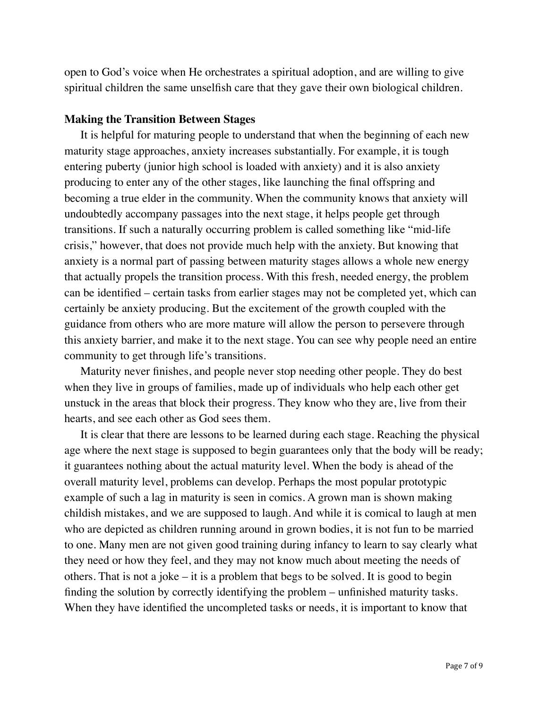open to God's voice when He orchestrates a spiritual adoption, and are willing to give spiritual children the same unselfish care that they gave their own biological children.

# **Making the Transition Between Stages**

It is helpful for maturing people to understand that when the beginning of each new maturity stage approaches, anxiety increases substantially. For example, it is tough entering puberty (junior high school is loaded with anxiety) and it is also anxiety producing to enter any of the other stages, like launching the final offspring and becoming a true elder in the community. When the community knows that anxiety will undoubtedly accompany passages into the next stage, it helps people get through transitions. If such a naturally occurring problem is called something like "mid-life crisis," however, that does not provide much help with the anxiety. But knowing that anxiety is a normal part of passing between maturity stages allows a whole new energy that actually propels the transition process. With this fresh, needed energy, the problem can be identified – certain tasks from earlier stages may not be completed yet, which can certainly be anxiety producing. But the excitement of the growth coupled with the guidance from others who are more mature will allow the person to persevere through this anxiety barrier, and make it to the next stage. You can see why people need an entire community to get through life's transitions.

Maturity never finishes, and people never stop needing other people. They do best when they live in groups of families, made up of individuals who help each other get unstuck in the areas that block their progress. They know who they are, live from their hearts, and see each other as God sees them.

It is clear that there are lessons to be learned during each stage. Reaching the physical age where the next stage is supposed to begin guarantees only that the body will be ready; it guarantees nothing about the actual maturity level. When the body is ahead of the overall maturity level, problems can develop. Perhaps the most popular prototypic example of such a lag in maturity is seen in comics. A grown man is shown making childish mistakes, and we are supposed to laugh. And while it is comical to laugh at men who are depicted as children running around in grown bodies, it is not fun to be married to one. Many men are not given good training during infancy to learn to say clearly what they need or how they feel, and they may not know much about meeting the needs of others. That is not a joke – it is a problem that begs to be solved. It is good to begin finding the solution by correctly identifying the problem – unfinished maturity tasks. When they have identified the uncompleted tasks or needs, it is important to know that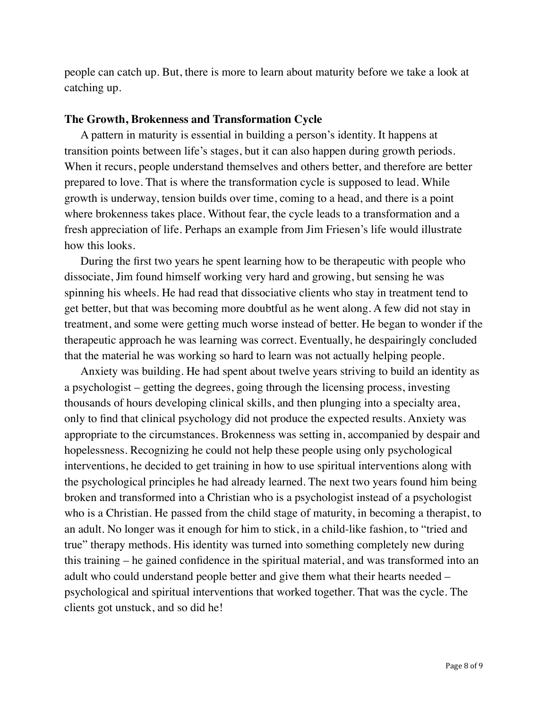people can catch up. But, there is more to learn about maturity before we take a look at catching up.

## **The Growth, Brokenness and Transformation Cycle**

A pattern in maturity is essential in building a person's identity. It happens at transition points between life's stages, but it can also happen during growth periods. When it recurs, people understand themselves and others better, and therefore are better prepared to love. That is where the transformation cycle is supposed to lead. While growth is underway, tension builds over time, coming to a head, and there is a point where brokenness takes place. Without fear, the cycle leads to a transformation and a fresh appreciation of life. Perhaps an example from Jim Friesen's life would illustrate how this looks.

During the first two years he spent learning how to be therapeutic with people who dissociate, Jim found himself working very hard and growing, but sensing he was spinning his wheels. He had read that dissociative clients who stay in treatment tend to get better, but that was becoming more doubtful as he went along. A few did not stay in treatment, and some were getting much worse instead of better. He began to wonder if the therapeutic approach he was learning was correct. Eventually, he despairingly concluded that the material he was working so hard to learn was not actually helping people.

Anxiety was building. He had spent about twelve years striving to build an identity as a psychologist – getting the degrees, going through the licensing process, investing thousands of hours developing clinical skills, and then plunging into a specialty area, only to find that clinical psychology did not produce the expected results. Anxiety was appropriate to the circumstances. Brokenness was setting in, accompanied by despair and hopelessness. Recognizing he could not help these people using only psychological interventions, he decided to get training in how to use spiritual interventions along with the psychological principles he had already learned. The next two years found him being broken and transformed into a Christian who is a psychologist instead of a psychologist who is a Christian. He passed from the child stage of maturity, in becoming a therapist, to an adult. No longer was it enough for him to stick, in a child-like fashion, to "tried and true" therapy methods. His identity was turned into something completely new during this training – he gained confidence in the spiritual material, and was transformed into an adult who could understand people better and give them what their hearts needed – psychological and spiritual interventions that worked together. That was the cycle. The clients got unstuck, and so did he!